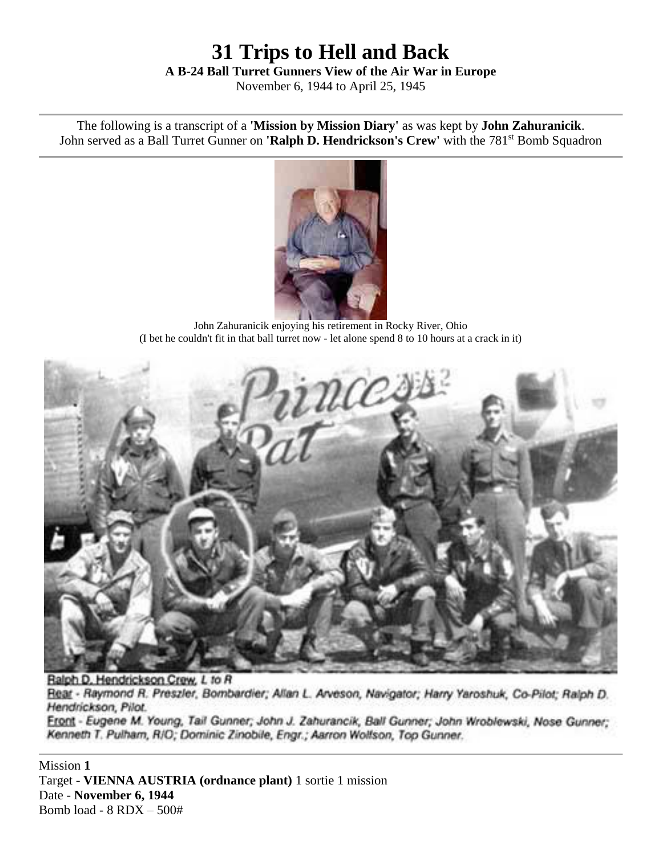# **31 Trips to Hell and Back A B-24 Ball Turret Gunners View of the Air War in Europe**

November 6, 1944 to April 25, 1945

The following is a transcript of a **'Mission by Mission Diary'** as was kept by **John Zahuranicik**. John served as a Ball Turret Gunner on **'Ralph D. Hendrickson's Crew'** with the 781<sup>st</sup> Bomb Squadron



John Zahuranicik enjoying his retirement in Rocky River, Ohio (I bet he couldn't fit in that ball turret now - let alone spend 8 to 10 hours at a crack in it)



Ralph D. Hendrickson Crew, L to R Rear - Raymond R. Preszler, Bombardier; Allan L. Arveson, Navigator; Harry Yaroshuk, Co-Pilot; Ralph D. Hendrickson, Pilot. Front - Eugene M. Young, Tail Gunner; John J. Zahurancik, Ball Gunner; John Wroblewski, Nose Gunner; Kenneth T. Pulham, R/O; Dominic Zinobile, Engr.; Aarron Wolfson, Top Gunner.

Mission **1** Target - **VIENNA AUSTRIA (ordnance plant)** 1 sortie 1 mission Date - **November 6, 1944** Bomb load - 8 RDX – 500#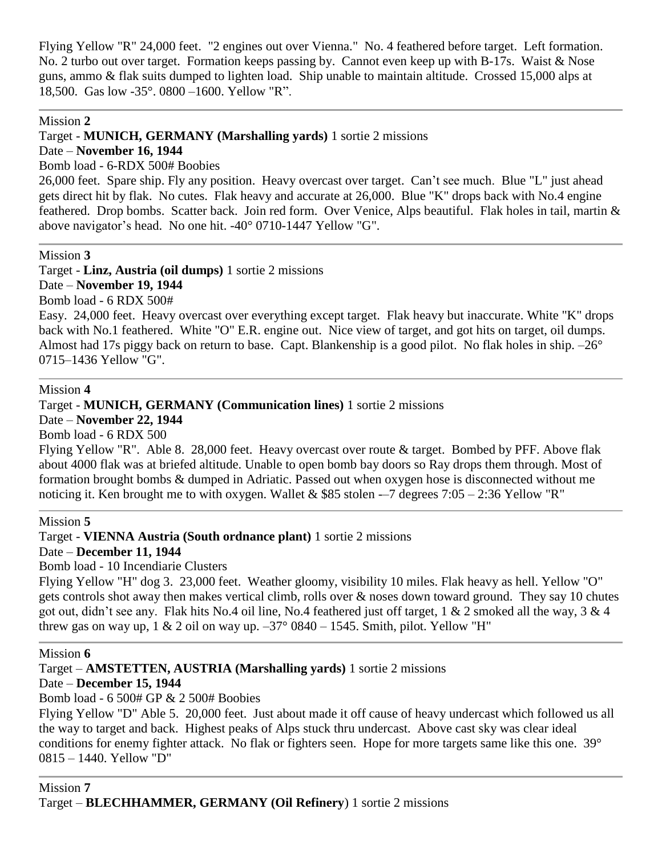Flying Yellow "R" 24,000 feet. "2 engines out over Vienna." No. 4 feathered before target. Left formation. No. 2 turbo out over target. Formation keeps passing by. Cannot even keep up with B-17s. Waist & Nose guns, ammo & flak suits dumped to lighten load. Ship unable to maintain altitude. Crossed 15,000 alps at 18,500. Gas low -35°. 0800 –1600. Yellow "R".

#### Mission **2**

Target - **MUNICH, GERMANY (Marshalling yards)** 1 sortie 2 missions

Date – **November 16, 1944**

Bomb load - 6-RDX 500# Boobies

26,000 feet. Spare ship. Fly any position. Heavy overcast over target. Can't see much. Blue "L" just ahead gets direct hit by flak. No cutes. Flak heavy and accurate at 26,000. Blue "K" drops back with No.4 engine feathered. Drop bombs. Scatter back. Join red form. Over Venice, Alps beautiful. Flak holes in tail, martin & above navigator's head. No one hit. -40° 0710-1447 Yellow "G".

### Mission **3**

Target - **Linz, Austria (oil dumps)** 1 sortie 2 missions

Date – **November 19, 1944**

Bomb load - 6 RDX 500#

Easy. 24,000 feet. Heavy overcast over everything except target. Flak heavy but inaccurate. White "K" drops back with No.1 feathered. White "O" E.R. engine out. Nice view of target, and got hits on target, oil dumps. Almost had 17s piggy back on return to base. Capt. Blankenship is a good pilot. No flak holes in ship. –26° 0715–1436 Yellow "G".

### Mission **4**

Target - **MUNICH, GERMANY (Communication lines)** 1 sortie 2 missions

Date – **November 22, 1944**

Bomb load - 6 RDX 500

Flying Yellow "R". Able 8. 28,000 feet. Heavy overcast over route & target. Bombed by PFF. Above flak about 4000 flak was at briefed altitude. Unable to open bomb bay doors so Ray drops them through. Most of formation brought bombs & dumped in Adriatic. Passed out when oxygen hose is disconnected without me noticing it. Ken brought me to with oxygen. Wallet & \$85 stolen  $-7$  degrees 7:05 – 2:36 Yellow "R"

### Mission **5**

Target - **VIENNA Austria (South ordnance plant)** 1 sortie 2 missions Date – **December 11, 1944** Bomb load - 10 Incendiarie Clusters

Flying Yellow "H" dog 3. 23,000 feet. Weather gloomy, visibility 10 miles. Flak heavy as hell. Yellow "O" gets controls shot away then makes vertical climb, rolls over & noses down toward ground. They say 10 chutes got out, didn't see any. Flak hits No.4 oil line, No.4 feathered just off target,  $1 \& 2$  smoked all the way,  $3 \& 4$ threw gas on way up, 1 & 2 oil on way up.  $-37^{\circ}$  0840 – 1545. Smith, pilot. Yellow "H"

### Mission **6**

Target – **AMSTETTEN, AUSTRIA (Marshalling yards)** 1 sortie 2 missions

Date – **December 15, 1944** Bomb load - 6 500# GP & 2 500# Boobies

Flying Yellow "D" Able 5. 20,000 feet. Just about made it off cause of heavy undercast which followed us all the way to target and back. Highest peaks of Alps stuck thru undercast. Above cast sky was clear ideal conditions for enemy fighter attack. No flak or fighters seen. Hope for more targets same like this one. 39° 0815 – 1440. Yellow "D"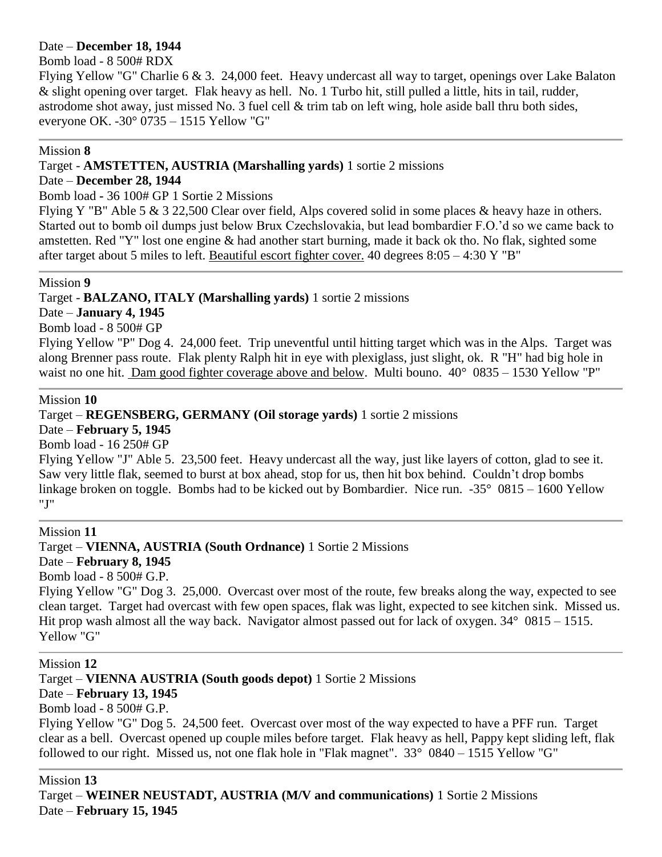#### Date – **December 18, 1944**

### Bomb load - 8 500# RDX

Flying Yellow "G" Charlie 6 & 3. 24,000 feet. Heavy undercast all way to target, openings over Lake Balaton & slight opening over target. Flak heavy as hell. No. 1 Turbo hit, still pulled a little, hits in tail, rudder, astrodome shot away, just missed No. 3 fuel cell & trim tab on left wing, hole aside ball thru both sides, everyone OK. -30° 0735 – 1515 Yellow "G"

#### Mission **8**

### Target - **AMSTETTEN, AUSTRIA (Marshalling yards)** 1 sortie 2 missions

### Date – **December 28, 1944**

Bomb load **-** 36 100# GP 1 Sortie 2 Missions

Flying Y "B" Able 5 & 3 22,500 Clear over field, Alps covered solid in some places & heavy haze in others. Started out to bomb oil dumps just below Brux Czechslovakia, but lead bombardier F.O.'d so we came back to amstetten. Red "Y" lost one engine & had another start burning, made it back ok tho. No flak, sighted some after target about 5 miles to left. [Beautiful escort fighter cover.](http://www.frankambrose.com/pages/tusk.html) 40 degrees 8:05 – 4:30 Y "B"

#### Mission **9**

### Target - **BALZANO, ITALY (Marshalling yards)** 1 sortie 2 missions

Date – **January 4, 1945**

Bomb load - 8 500# GP

Flying Yellow "P" Dog 4. 24,000 feet. Trip uneventful until hitting target which was in the Alps. Target was along Brenner pass route. Flak plenty Ralph hit in eye with plexiglass, just slight, ok. R "H" had big hole in waist no one hit. [Dam good fighter coverage above and](http://www.frankambrose.com/pages/tusk.html) below. Multi bouno.  $40^{\circ}$  0835 – 1530 Yellow "P"

#### Mission **10**

Target – **REGENSBERG, GERMANY (Oil storage yards)** 1 sortie 2 missions

Date – **February 5, 1945**

Bomb load - 16 250# GP

Flying Yellow "J" Able 5. 23,500 feet. Heavy undercast all the way, just like layers of cotton, glad to see it. Saw very little flak, seemed to burst at box ahead, stop for us, then hit box behind. Couldn't drop bombs linkage broken on toggle. Bombs had to be kicked out by Bombardier. Nice run. -35° 0815 – 1600 Yellow "J"

Mission **11** Target – **VIENNA, AUSTRIA (South Ordnance)** 1 Sortie 2 Missions Date – **February 8, 1945** Bomb load - 8 500# G.P. Flying Yellow "G" Dog 3. 25,000. Overcast over most of the route, few breaks along the way, expected to see clean target. Target had overcast with few open spaces, flak was light, expected to see kitchen sink. Missed us. Hit prop wash almost all the way back. Navigator almost passed out for lack of oxygen.  $34^{\circ}$  0815 – 1515. Yellow "G"

Mission **12**

Target – **VIENNA AUSTRIA (South goods depot)** 1 Sortie 2 Missions

Date – **February 13, 1945**

Bomb load - 8 500# G.P.

Flying Yellow "G" Dog 5. 24,500 feet. Overcast over most of the way expected to have a PFF run. Target clear as a bell. Overcast opened up couple miles before target. Flak heavy as hell, Pappy kept sliding left, flak followed to our right. Missed us, not one flak hole in "Flak magnet". 33° 0840 – 1515 Yellow "G"

Mission **13** Target – **WEINER NEUSTADT, AUSTRIA (M/V and communications)** 1 Sortie 2 Missions Date – **February 15, 1945**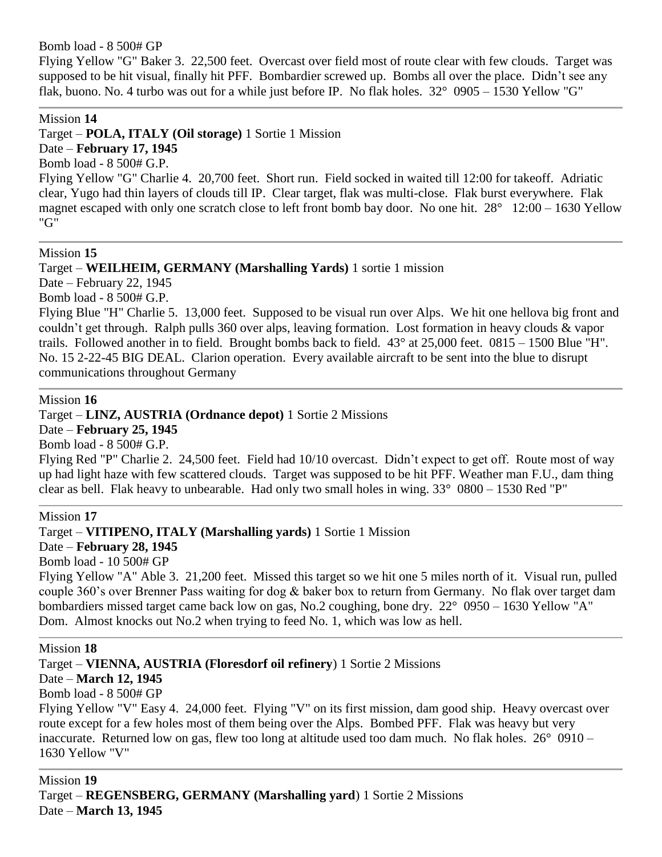Bomb load - 8 500# GP

Flying Yellow "G" Baker 3. 22,500 feet. Overcast over field most of route clear with few clouds. Target was supposed to be hit visual, finally hit PFF. Bombardier screwed up. Bombs all over the place. Didn't see any flak, buono. No. 4 turbo was out for a while just before IP. No flak holes. 32° 0905 – 1530 Yellow "G"

#### Mission **14**

Target – **POLA, ITALY (Oil storage)** 1 Sortie 1 Mission

Date – **February 17, 1945** Bomb load - 8 500# G.P.

Flying Yellow "G" Charlie 4. 20,700 feet. Short run. Field socked in waited till 12:00 for takeoff. Adriatic clear, Yugo had thin layers of clouds till IP. Clear target, flak was multi-close. Flak burst everywhere. Flak magnet escaped with only one scratch close to left front bomb bay door. No one hit. 28° 12:00 – 1630 Yellow "G"

#### Mission **15**

Target – **WEILHEIM, GERMANY (Marshalling Yards)** 1 sortie 1 mission

Date – February 22, 1945

Bomb load - 8 500# G.P.

Flying Blue "H" Charlie 5. 13,000 feet. Supposed to be visual run over Alps. We hit one hellova big front and couldn't get through. Ralph pulls 360 over alps, leaving formation. Lost formation in heavy clouds & vapor trails. Followed another in to field. Brought bombs back to field. 43° at 25,000 feet. 0815 – 1500 Blue "H". No. 15 2-22-45 BIG DEAL. Clarion operation. Every available aircraft to be sent into the blue to disrupt communications throughout Germany

#### Mission **16**

#### Target – **LINZ, AUSTRIA (Ordnance depot)** 1 Sortie 2 Missions

Date – **February 25, 1945**

Bomb load - 8 500# G.P. Flying Red "P" Charlie 2. 24,500 feet. Field had 10/10 overcast. Didn't expect to get off. Route most of way up had light haze with few scattered clouds. Target was supposed to be hit PFF. Weather man F.U., dam thing clear as bell. Flak heavy to unbearable. Had only two small holes in wing.  $33^{\circ}$  0800 – 1530 Red "P"

Mission **17**

Target – **VITIPENO, ITALY (Marshalling yards)** 1 Sortie 1 Mission

## Date – **February 28, 1945**

Bomb load - 10 500# GP

Flying Yellow "A" Able 3. 21,200 feet. Missed this target so we hit one 5 miles north of it. Visual run, pulled couple 360's over Brenner Pass waiting for dog & baker box to return from Germany. No flak over target dam bombardiers missed target came back low on gas, No.2 coughing, bone dry. 22° 0950 – 1630 Yellow "A" Dom. Almost knocks out No.2 when trying to feed No. 1, which was low as hell.

#### Mission **18**

Target – **VIENNA, AUSTRIA (Floresdorf oil refinery**) 1 Sortie 2 Missions

### Date – **March 12, 1945**

Bomb load - 8 500# GP

Flying Yellow "V" Easy 4. 24,000 feet. Flying "V" on its first mission, dam good ship. Heavy overcast over route except for a few holes most of them being over the Alps. Bombed PFF. Flak was heavy but very inaccurate. Returned low on gas, flew too long at altitude used too dam much. No flak holes. 26° 0910 – 1630 Yellow "V"

Mission **19** Target – **REGENSBERG, GERMANY (Marshalling yard**) 1 Sortie 2 Missions Date – **March 13, 1945**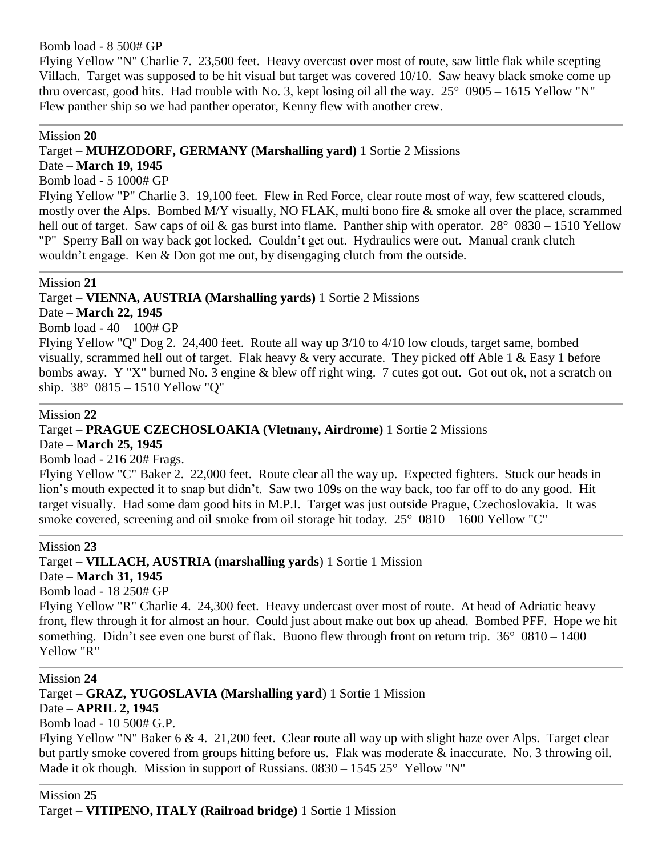Bomb load - 8 500# GP

Flying Yellow "N" Charlie 7. 23,500 feet. Heavy overcast over most of route, saw little flak while scepting Villach. Target was supposed to be hit visual but target was covered 10/10. Saw heavy black smoke come up thru overcast, good hits. Had trouble with No. 3, kept losing oil all the way.  $25^{\circ}$  0905 – 1615 Yellow "N" Flew panther ship so we had panther operator, Kenny flew with another crew.

#### Mission **20**

### Target – **MUHZODORF, GERMANY (Marshalling yard)** 1 Sortie 2 Missions

### Date – **March 19, 1945**

Bomb load - 5 1000# GP

Flying Yellow "P" Charlie 3. 19,100 feet. Flew in Red Force, clear route most of way, few scattered clouds, mostly over the Alps. Bombed M/Y visually, NO FLAK, multi bono fire & smoke all over the place, scrammed hell out of target. Saw caps of oil & gas burst into flame. Panther ship with operator. 28° 0830 – 1510 Yellow "P" Sperry Ball on way back got locked. Couldn't get out. Hydraulics were out. Manual crank clutch wouldn't engage. Ken & Don got me out, by disengaging clutch from the outside.

#### Mission **21**

### Target – **VIENNA, AUSTRIA (Marshalling yards)** 1 Sortie 2 Missions

### Date – **March 22, 1945**

Bomb load - 40 – 100# GP

Flying Yellow "Q" Dog 2. 24,400 feet. Route all way up 3/10 to 4/10 low clouds, target same, bombed visually, scrammed hell out of target. Flak heavy  $\&$  very accurate. They picked off Able 1  $\&$  Easy 1 before bombs away. Y "X" burned No. 3 engine & blew off right wing. 7 cutes got out. Got out ok, not a scratch on ship. 38° 0815 – 1510 Yellow "Q"

#### Mission **22**

### Target – **PRAGUE CZECHOSLOAKIA (Vletnany, Airdrome)** 1 Sortie 2 Missions

Date – **March 25, 1945**

Bomb load - 216 20# Frags.

Flying Yellow "C" Baker 2. 22,000 feet. Route clear all the way up. Expected fighters. Stuck our heads in lion's mouth expected it to snap but didn't. Saw two 109s on the way back, too far off to do any good. Hit target visually. Had some dam good hits in M.P.I. Target was just outside Prague, Czechoslovakia. It was smoke covered, screening and oil smoke from oil storage hit today. 25° 0810 – 1600 Yellow "C"

Mission **23**

Target – **VILLACH, AUSTRIA (marshalling yards**) 1 Sortie 1 Mission

Date – **March 31, 1945**

Bomb load - 18 250# GP

Flying Yellow "R" Charlie 4. 24,300 feet. Heavy undercast over most of route. At head of Adriatic heavy front, flew through it for almost an hour. Could just about make out box up ahead. Bombed PFF. Hope we hit something. Didn't see even one burst of flak. Buono flew through front on return trip. 36° 0810 – 1400 Yellow "R"

Mission **24** Target – **GRAZ, YUGOSLAVIA (Marshalling yard**) 1 Sortie 1 Mission Date – **APRIL 2, 1945** Bomb load - 10 500# G.P. Flying Yellow "N" Baker 6 & 4. 21,200 feet. Clear route all way up with slight haze over Alps. Target clear but partly smoke covered from groups hitting before us. Flak was moderate & inaccurate. No. 3 throwing oil. Made it ok though. Mission in support of Russians. 0830 – 1545 25° Yellow "N"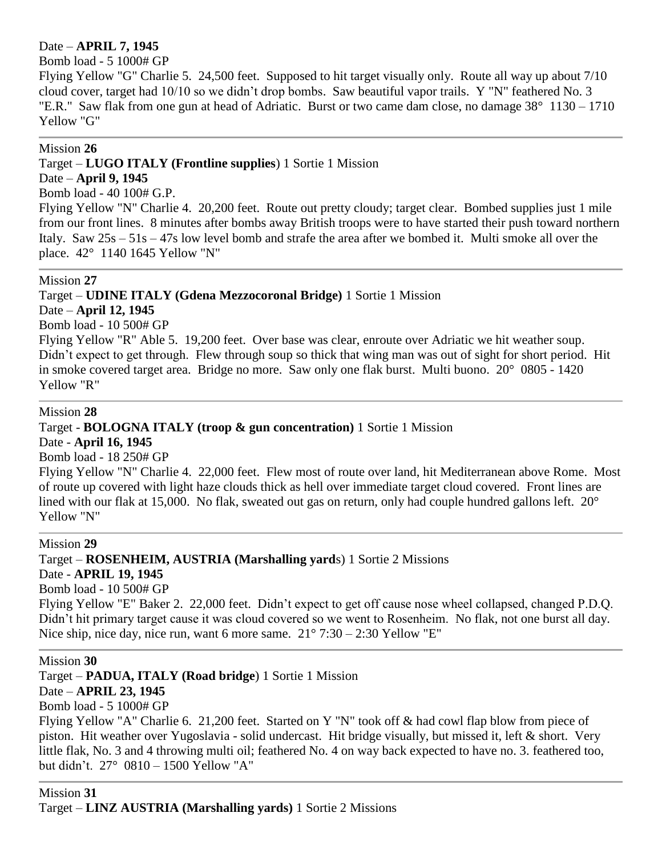### Date – **APRIL 7, 1945**

Bomb load - 5 1000# GP

Flying Yellow "G" Charlie 5. 24,500 feet. Supposed to hit target visually only. Route all way up about 7/10 cloud cover, target had 10/10 so we didn't drop bombs. Saw beautiful vapor trails. Y "N" feathered No. 3 "E.R." Saw flak from one gun at head of Adriatic. Burst or two came dam close, no damage 38° 1130 – 1710 Yellow "G"

#### Mission **26**

### Target – **LUGO ITALY (Frontline supplies**) 1 Sortie 1 Mission

#### Date – **April 9, 1945**

Bomb load - 40 100# G.P.

Flying Yellow "N" Charlie 4. 20,200 feet. Route out pretty cloudy; target clear. Bombed supplies just 1 mile from our front lines. 8 minutes after bombs away British troops were to have started their push toward northern Italy. Saw 25s – 51s – 47s low level bomb and strafe the area after we bombed it. Multi smoke all over the place. 42° 1140 1645 Yellow "N"

#### Mission **27**

Target – **UDINE ITALY (Gdena Mezzocoronal Bridge)** 1 Sortie 1 Mission

### Date – **April 12, 1945**

Bomb load - 10 500# GP

Flying Yellow "R" Able 5. 19,200 feet. Over base was clear, enroute over Adriatic we hit weather soup. Didn't expect to get through. Flew through soup so thick that wing man was out of sight for short period. Hit in smoke covered target area. Bridge no more. Saw only one flak burst. Multi buono. 20° 0805 - 1420 Yellow "R"

#### Mission **28**

### Target - **BOLOGNA ITALY (troop & gun concentration)** 1 Sortie 1 Mission

Date - **April 16, 1945**

Bomb load - 18 250# GP

Flying Yellow "N" Charlie 4. 22,000 feet. Flew most of route over land, hit Mediterranean above Rome. Most of route up covered with light haze clouds thick as hell over immediate target cloud covered. Front lines are lined with our flak at 15,000. No flak, sweated out gas on return, only had couple hundred gallons left. 20° Yellow "N"

#### Mission **29**

Target – **ROSENHEIM, AUSTRIA (Marshalling yard**s) 1 Sortie 2 Missions

### Date - **APRIL 19, 1945**

Bomb load - 10 500# GP

Flying Yellow "E" Baker 2. 22,000 feet. Didn't expect to get off cause nose wheel collapsed, changed P.D.Q. Didn't hit primary target cause it was cloud covered so we went to Rosenheim. No flak, not one burst all day. Nice ship, nice day, nice run, want 6 more same.  $21^{\circ}$  7:30 – 2:30 Yellow "E"

Mission **30**

Target – **PADUA, ITALY (Road bridge**) 1 Sortie 1 Mission

### Date – **APRIL 23, 1945**

Bomb load - 5 1000# GP

Flying Yellow "A" Charlie 6. 21,200 feet. Started on Y "N" took off & had cowl flap blow from piece of piston. Hit weather over Yugoslavia - solid undercast. Hit bridge visually, but missed it, left & short. Very little flak, No. 3 and 4 throwing multi oil; feathered No. 4 on way back expected to have no. 3. feathered too, but didn't. 27° 0810 – 1500 Yellow "A"